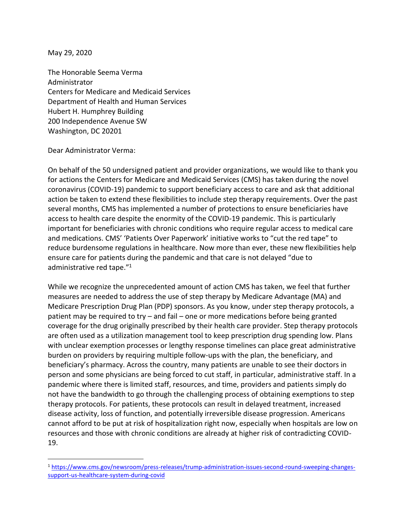May 29, 2020

The Honorable Seema Verma Administrator Centers for Medicare and Medicaid Services Department of Health and Human Services Hubert H. Humphrey Building 200 Independence Avenue SW Washington, DC 20201

Dear Administrator Verma:

On behalf of the 50 undersigned patient and provider organizations, we would like to thank you for actions the Centers for Medicare and Medicaid Services (CMS) has taken during the novel coronavirus (COVID-19) pandemic to support beneficiary access to care and ask that additional action be taken to extend these flexibilities to include step therapy requirements. Over the past several months, CMS has implemented a number of protections to ensure beneficiaries have access to health care despite the enormity of the COVID-19 pandemic. This is particularly important for beneficiaries with chronic conditions who require regular access to medical care and medications. CMS' 'Patients Over Paperwork' initiative works to "cut the red tape" to reduce burdensome regulations in healthcare. Now more than ever, these new flexibilities help ensure care for patients during the pandemic and that care is not delayed "due to administrative red tape."<sup>1</sup>

While we recognize the unprecedented amount of action CMS has taken, we feel that further measures are needed to address the use of step therapy by Medicare Advantage (MA) and Medicare Prescription Drug Plan (PDP) sponsors. As you know, under step therapy protocols, a patient may be required to try – and fail – one or more medications before being granted coverage for the drug originally prescribed by their health care provider. Step therapy protocols are often used as a utilization management tool to keep prescription drug spending low. Plans with unclear exemption processes or lengthy response timelines can place great administrative burden on providers by requiring multiple follow-ups with the plan, the beneficiary, and beneficiary's pharmacy. Across the country, many patients are unable to see their doctors in person and some physicians are being forced to cut staff, in particular, administrative staff. In a pandemic where there is limited staff, resources, and time, providers and patients simply do not have the bandwidth to go through the challenging process of obtaining exemptions to step therapy protocols. For patients, these protocols can result in delayed treatment, increased disease activity, loss of function, and potentially irreversible disease progression. Americans cannot afford to be put at risk of hospitalization right now, especially when hospitals are low on resources and those with chronic conditions are already at higher risk of contradicting COVID-19.

<sup>1</sup> [https://www.cms.gov/newsroom/press-releases/trump-administration-issues-second-round-sweeping-changes](https://www.cms.gov/newsroom/press-releases/trump-administration-issues-second-round-sweeping-changes-support-us-healthcare-system-during-covid)[support-us-healthcare-system-during-covid](https://www.cms.gov/newsroom/press-releases/trump-administration-issues-second-round-sweeping-changes-support-us-healthcare-system-during-covid)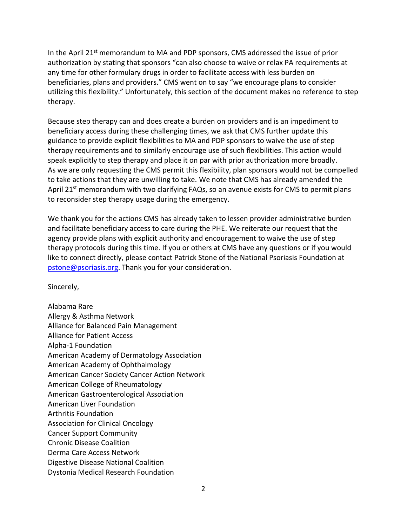In the April  $21^{st}$  memorandum to MA and PDP sponsors, CMS addressed the issue of prior authorization by stating that sponsors "can also choose to waive or relax PA requirements at any time for other formulary drugs in order to facilitate access with less burden on beneficiaries, plans and providers." CMS went on to say "we encourage plans to consider utilizing this flexibility." Unfortunately, this section of the document makes no reference to step therapy.

Because step therapy can and does create a burden on providers and is an impediment to beneficiary access during these challenging times, we ask that CMS further update this guidance to provide explicit flexibilities to MA and PDP sponsors to waive the use of step therapy requirements and to similarly encourage use of such flexibilities. This action would speak explicitly to step therapy and place it on par with prior authorization more broadly. As we are only requesting the CMS permit this flexibility, plan sponsors would not be compelled to take actions that they are unwilling to take. We note that CMS has already amended the April 21<sup>st</sup> memorandum with two clarifying FAQs, so an avenue exists for CMS to permit plans to reconsider step therapy usage during the emergency.

We thank you for the actions CMS has already taken to lessen provider administrative burden and facilitate beneficiary access to care during the PHE. We reiterate our request that the agency provide plans with explicit authority and encouragement to waive the use of step therapy protocols during this time. If you or others at CMS have any questions or if you would like to connect directly, please contact Patrick Stone of the National Psoriasis Foundation at [pstone@psoriasis.org.](mailto:pstone@psoriasis.org) Thank you for your consideration.

Sincerely,

Alabama Rare Allergy & Asthma Network Alliance for Balanced Pain Management Alliance for Patient Access Alpha-1 Foundation American Academy of Dermatology Association American Academy of Ophthalmology American Cancer Society Cancer Action Network American College of Rheumatology American Gastroenterological Association American Liver Foundation Arthritis Foundation Association for Clinical Oncology Cancer Support Community Chronic Disease Coalition Derma Care Access Network Digestive Disease National Coalition Dystonia Medical Research Foundation